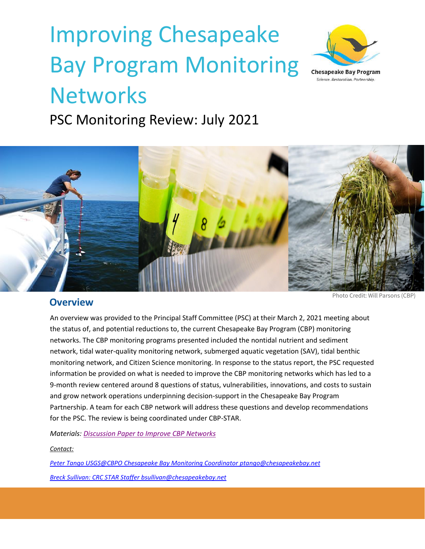# Improving Chesapeake Bay Program Monitoring **Networks**



PSC Monitoring Review: July 2021



# **Overview**

Photo Credit: Will Parsons (CBP)

An overview was provided to the Principal Staff Committee (PSC) at their March 2, 2021 meeting about the status of, and potential reductions to, the current Chesapeake Bay Program (CBP) monitoring networks. The CBP monitoring programs presented included the nontidal nutrient and sediment network, tidal water-quality monitoring network, submerged aquatic vegetation (SAV), tidal benthic monitoring network, and Citizen Science monitoring. In response to the status report, the PSC requested information be provided on what is needed to improve the CBP monitoring networks which has led to a 9-month review centered around 8 questions of status, vulnerabilities, innovations, and costs to sustain and grow network operations underpinning decision-support in the Chesapeake Bay Program Partnership. A team for each CBP network will address these questions and develop recommendations for the PSC. The review is being coordinated under CBP-STAR.

*Materials: [Discussion Paper to Improve CBP Networks](https://www.chesapeakebay.net/channel_files/42990/discussion_paper_to_improve_cbp_networks_may_18_for_psc.pdf)*

#### *Contact:*

*Peter Tango USGS@CBPO Chesapeake Bay Monitoring Coordinato[r ptango@chesapeakebay.net](mailto:ptango@chesapeakebay.net) Breck Sullivan: CRC STAR Staffe[r bsullivan@chesapeakebay.net](mailto:bsullivan@chesapeakebay.net)*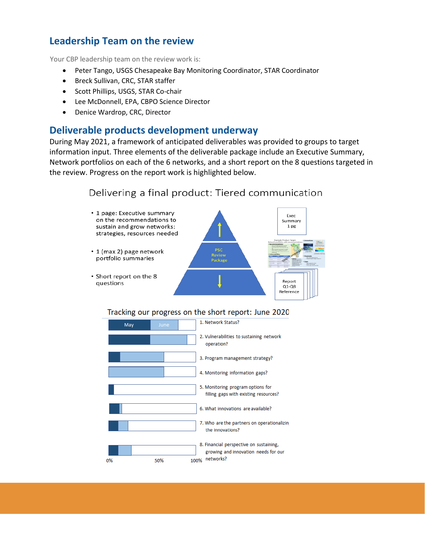# **Leadership Team on the review**

Your CBP leadership team on the review work is:

- Peter Tango, USGS Chesapeake Bay Monitoring Coordinator, STAR Coordinator
- Breck Sullivan, CRC, STAR staffer
- Scott Phillips, USGS, STAR Co-chair
- Lee McDonnell, EPA, CBPO Science Director
- Denice Wardrop, CRC, Director

# **Deliverable products development underway**

During May 2021, a framework of anticipated deliverables was provided to groups to target information input. Three elements of the deliverable package include an Executive Summary, Network portfolios on each of the 6 networks, and a short report on the 8 questions targeted in the review. Progress on the report work is highlighted below.

# Delivering a final product: Tiered communication



Tracking our progress on the short report: June 2020

| May | June | 1. Network Status?                                                              |
|-----|------|---------------------------------------------------------------------------------|
|     |      | 2. Vulnerabilities to sustaining network<br>operation?                          |
|     |      | 3. Program management strategy?                                                 |
|     |      | 4. Monitoring information gaps?                                                 |
|     |      | 5. Monitoring program options for<br>filling gaps with existing resources?      |
|     |      | 6. What innovations are available?                                              |
|     |      | 7. Who are the partners on operationalizing<br>the innovations?                 |
|     |      | 8. Financial perspective on sustaining,<br>growing and innovation needs for our |
| 0%  | 50%  | networks?<br>100%                                                               |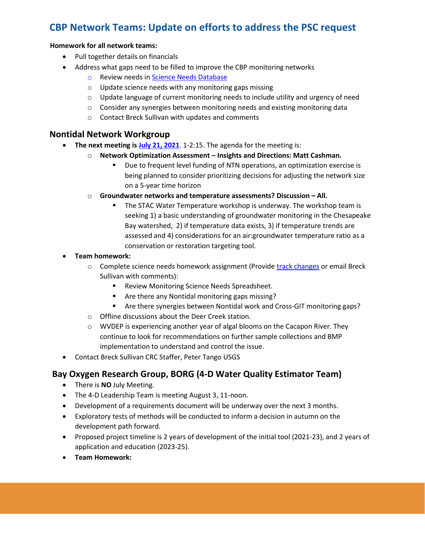# **CBP Network Teams: Update on efforts to address the PSC request**

#### **Homework for all network teams:**

- Pull together details on financials
- Address what gaps need to be filled to improve the CBP monitoring networks
	- o Review needs in [Science Needs Database](https://star.chesapeakebay.net/)
	- o Update science needs with any monitoring gaps missing
	- $\circ$  Update language of current monitoring needs to include utility and urgency of need
	- o Consider any synergies between monitoring needs and existing monitoring data
	- o Contact Breck Sullivan with updates and comments

## **Nontidal Network Workgroup**

- **The next meeting is July [21, 2021](https://www.chesapeakebay.net/what/event/nontidal_network_workgroup_july_2021_meeting)**. 1-2:15. The agenda for the meeting is:
	- o **Network Optimization Assessment – Insights and Directions: Matt Cashman.** 
		- Due to frequent level funding of NTN operations, an optimization exercise is being planned to consider prioritizing decisions for adjusting the network size on a 5-year time horizon
	- o **Groundwater networks and temperature assessments? Discussion – All.** 
		- **E** The STAC Water Temperature workshop is underway. The workshop team is seeking 1) a basic understanding of groundwater monitoring in the Chesapeake Bay watershed, 2) if temperature data exists, 3) if temperature trends are assessed and 4) considerations for an air:groundwater temperature ratio as a conservation or restoration targeting tool.

#### • **Team homework:**

- $\circ$  Complete science needs homework assignment (Provide [track changes](https://www.chesapeakebay.net/what/event/nontidal_network_workgroup_june_2021_meeting) or email Breck Sullivan with comments):
	- Review Monitoring Science Needs Spreadsheet.
	- Are there any Nontidal monitoring gaps missing?
	- Are there synergies between Nontidal work and Cross-GIT monitoring gaps?
- o Offline discussions about the Deer Creek station.
- o WVDEP is experiencing another year of algal blooms on the Cacapon River. They continue to look for recommendations on further sample collections and BMP implementation to understand and control the issue.
- Contact Breck Sullivan CRC Staffer, Peter Tango USGS

#### **Bay Oxygen Research Group, BORG (4-D Water Quality Estimator Team)**

- There is **NO** July Meeting.
- The 4-D Leadership Team is meeting August 3, 11-noon.
- Development of a requirements document will be underway over the next 3 months.
- Exploratory tests of methods will be conducted to inform a decision in autumn on the development path forward.
- Proposed project timeline is 2 years of development of the initial tool (2021-23), and 2 years of application and education (2023-25).
- **Team Homework:**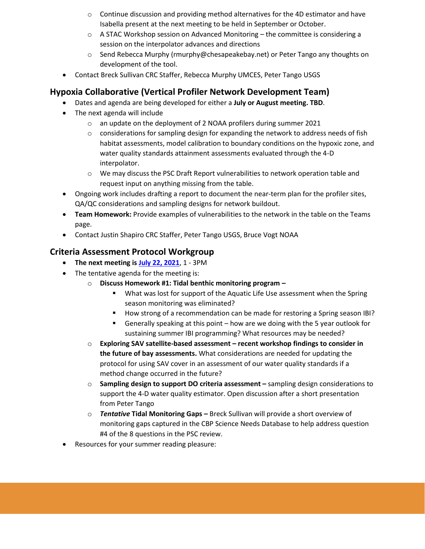- $\circ$  Continue discussion and providing method alternatives for the 4D estimator and have Isabella present at the next meeting to be held in September or October.
- $\circ$  A STAC Workshop session on Advanced Monitoring the committee is considering a session on the interpolator advances and directions
- $\circ$  Send Rebecca Murphy (rmurphy@chesapeakebay.net) or Peter Tango any thoughts on development of the tool.
- Contact Breck Sullivan CRC Staffer, Rebecca Murphy UMCES, Peter Tango USGS

# **Hypoxia Collaborative (Vertical Profiler Network Development Team)**

- Dates and agenda are being developed for either a **July or August meeting. TBD**.
- The next agenda will include
	- o an update on the deployment of 2 NOAA profilers during summer 2021
	- $\circ$  considerations for sampling design for expanding the network to address needs of fish habitat assessments, model calibration to boundary conditions on the hypoxic zone, and water quality standards attainment assessments evaluated through the 4-D interpolator.
	- $\circ$  We may discuss the PSC Draft Report vulnerabilities to network operation table and request input on anything missing from the table.
- Ongoing work includes drafting a report to document the near-term plan for the profiler sites, QA/QC considerations and sampling designs for network buildout.
- **Team Homework:** Provide examples of vulnerabilities to the network in the table on the Teams page.
- Contact Justin Shapiro CRC Staffer, Peter Tango USGS, Bruce Vogt NOAA

## **Criteria Assessment Protocol Workgroup**

- **The next meeting is [July 22, 2021](https://www.chesapeakebay.net/what/event/criteria_assessment_protocol_workgroup_july_2021_meeting)**, 1 3PM
- The tentative agenda for the meeting is:
	- o **Discuss Homework #1: Tidal benthic monitoring program –**
		- What was lost for support of the Aquatic Life Use assessment when the Spring season monitoring was eliminated?
		- How strong of a recommendation can be made for restoring a Spring season IBI?
		- Generally speaking at this point how are we doing with the 5 year outlook for sustaining summer IBI programming? What resources may be needed?
	- o **Exploring SAV satellite-based assessment – recent workshop findings to consider in the future of bay assessments.** What considerations are needed for updating the protocol for using SAV cover in an assessment of our water quality standards if a method change occurred in the future?
	- o **Sampling design to support DO criteria assessment –** sampling design considerations to support the 4-D water quality estimator. Open discussion after a short presentation from Peter Tango
	- o *Tentative* **Tidal Monitoring Gaps –** Breck Sullivan will provide a short overview of monitoring gaps captured in the CBP Science Needs Database to help address question #4 of the 8 questions in the PSC review.
- Resources for your summer reading pleasure: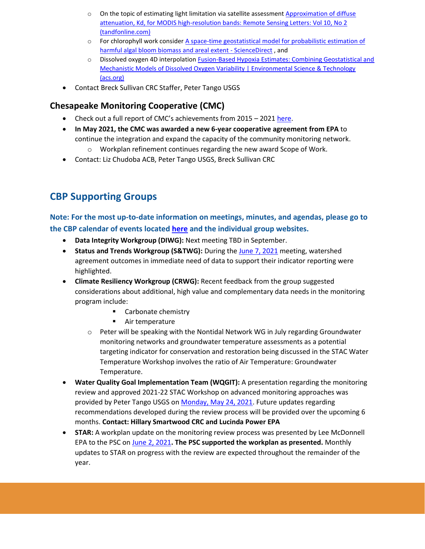- o On the topic of estimating light limitation via satellite assessment Approximation of diffuse [attenuation, Kd, for MODIS high-resolution bands: Remote Sensing Letters: Vol 10, No 2](https://www.tandfonline.com/doi/full/10.1080/2150704X.2018.1536301)  [\(tandfonline.com\)](https://www.tandfonline.com/doi/full/10.1080/2150704X.2018.1536301)
- o For chlorophyll work consider [A space-time geostatistical model for probabilistic estimation of](https://www.sciencedirect.com/science/article/abs/pii/S0048969719337179?via%3Dihub)  [harmful algal bloom biomass and areal extent -](https://www.sciencedirect.com/science/article/abs/pii/S0048969719337179?via%3Dihub) ScienceDirect , and
- o Dissolved oxygen 4D interpolation [Fusion-Based Hypoxia Estimates: Combining Geostatistical and](https://pubs.acs.org/doi/10.1021/acs.est.0c03655)  Mechanistic Models of Dissolved Oxygen Variability | Environmental Science & Technology [\(acs.org\)](https://pubs.acs.org/doi/10.1021/acs.est.0c03655)
- Contact Breck Sullivan CRC Staffer, Peter Tango USGS

# **Chesapeake Monitoring Cooperative (CMC)**

- Check out a full report of CMC's achievements from 2015 2021 [here.](https://www.chesapeakemonitoringcoop.org/wp-content/uploads/2021/02/CMC-Report-FINAL-7pp.pdf)
- **In May 2021, the CMC was awarded a new 6-year cooperative agreement from EPA** to continue the integration and expand the capacity of the community monitoring network.
	- o Workplan refinement continues regarding the new award Scope of Work.
- Contact: Liz Chudoba ACB, Peter Tango USGS, Breck Sullivan CRC

# **CBP Supporting Groups**

**Note: For the most up-to-date information on meetings, minutes, and agendas, please go to the CBP calendar of events located [here](https://www.chesapeakebay.net/what/calendar) and the individual group websites.** 

- **Data Integrity Workgroup (DIWG):** Next meeting TBD in September.
- **Status and Trends Workgroup (S&TWG):** During the [June 7, 2021](https://www.chesapeakebay.net/what/event/status_and_trends_workgroup_june_2021_meeting) meeting, watershed agreement outcomes in immediate need of data to support their indicator reporting were highlighted.
- **Climate Resiliency Workgroup (CRWG):** Recent feedback from the group suggested considerations about additional, high value and complementary data needs in the monitoring program include:
	- Carbonate chemistry
	- Air temperature
	- o Peter will be speaking with the Nontidal Network WG in July regarding Groundwater monitoring networks and groundwater temperature assessments as a potential targeting indicator for conservation and restoration being discussed in the STAC Water Temperature Workshop involves the ratio of Air Temperature: Groundwater Temperature.
- **Water Quality Goal Implementation Team (WQGIT):** A presentation regarding the monitoring review and approved 2021-22 STAC Workshop on advanced monitoring approaches was provided by Peter Tango USGS on [Monday, May 24, 2021.](https://www.chesapeakebay.net/what/event/water_quality_goal_implementation_team_conference_call_may_24_2021) Future updates regarding recommendations developed during the review process will be provided over the upcoming 6 months. **Contact: Hillary Smartwood CRC and Lucinda Power EPA**
- **STAR:** A workplan update on the monitoring review process was presented by Lee McDonnell EPA to the PSC o[n June 2, 2021](https://www.chesapeakebay.net/what/event/principals_staff_committee_meeting_june_2021)**. The PSC supported the workplan as presented.** Monthly updates to STAR on progress with the review are expected throughout the remainder of the year.